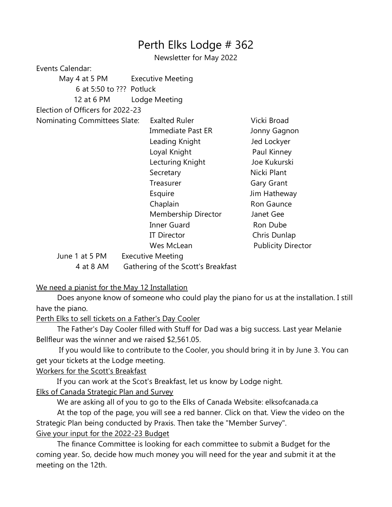## Perth Elks Lodge # 362

Newsletter for May 2022

Events Calendar:

| May 4 at 5 PM                       |                                    | Executive Meeting        |                           |
|-------------------------------------|------------------------------------|--------------------------|---------------------------|
| 6 at 5:50 to ??? Potluck            |                                    |                          |                           |
| 12 at 6 PM                          |                                    | Lodge Meeting            |                           |
| Election of Officers for 2022-23    |                                    |                          |                           |
| <b>Nominating Committees Slate:</b> |                                    | <b>Exalted Ruler</b>     | Vicki Broad               |
|                                     |                                    | <b>Immediate Past ER</b> | Jonny Gagnon              |
|                                     |                                    | Leading Knight           | Jed Lockyer               |
|                                     |                                    | Loyal Knight             | Paul Kinney               |
|                                     |                                    | Lecturing Knight         | Joe Kukurski              |
|                                     |                                    | Secretary                | Nicki Plant               |
|                                     |                                    | Treasurer                | Gary Grant                |
|                                     |                                    | Esquire                  | Jim Hatheway              |
|                                     |                                    | Chaplain                 | Ron Gaunce                |
|                                     |                                    | Membership Director      | Janet Gee                 |
|                                     |                                    | <b>Inner Guard</b>       | Ron Dube                  |
|                                     |                                    | <b>IT Director</b>       | Chris Dunlap              |
|                                     |                                    | Wes McLean               | <b>Publicity Director</b> |
| June 1 at 5 PM                      |                                    | <b>Executive Meeting</b> |                           |
| 4 at 8 AM                           | Gathering of the Scott's Breakfast |                          |                           |

## We need a pianist for the May 12 Installation

 Does anyone know of someone who could play the piano for us at the installation. I still have the piano.

Perth Elks to sell tickets on a Father's Day Cooler

 The Father's Day Cooler filled with Stuff for Dad was a big success. Last year Melanie Bellfleur was the winner and we raised \$2,561.05.

 If you would like to contribute to the Cooler, you should bring it in by June 3. You can get your tickets at the Lodge meeting.

## Workers for the Scott's Breakfast

If you can work at the Scot's Breakfast, let us know by Lodge night.

Elks of Canada Strategic Plan and Survey

We are asking all of you to go to the Elks of Canada Website: elksofcanada.ca

 At the top of the page, you will see a red banner. Click on that. View the video on the Strategic Plan being conducted by Praxis. Then take the "Member Survey".

## Give your input for the 2022-23 Budget

 The finance Committee is looking for each committee to submit a Budget for the coming year. So, decide how much money you will need for the year and submit it at the meeting on the 12th.